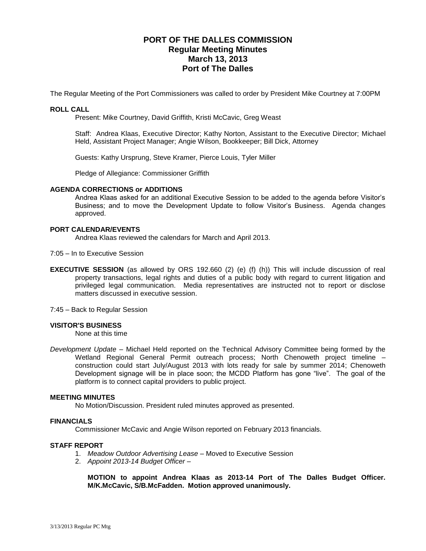# **PORT OF THE DALLES COMMISSION Regular Meeting Minutes March 13, 2013 Port of The Dalles**

The Regular Meeting of the Port Commissioners was called to order by President Mike Courtney at 7:00PM

## **ROLL CALL**

Present: Mike Courtney, David Griffith, Kristi McCavic, Greg Weast

Staff: Andrea Klaas, Executive Director; Kathy Norton, Assistant to the Executive Director; Michael Held, Assistant Project Manager; Angie Wilson, Bookkeeper; Bill Dick, Attorney

Guests: Kathy Ursprung, Steve Kramer, Pierce Louis, Tyler Miller

Pledge of Allegiance: Commissioner Griffith

#### **AGENDA CORRECTIONS or ADDITIONS**

Andrea Klaas asked for an additional Executive Session to be added to the agenda before Visitor's Business; and to move the Development Update to follow Visitor's Business. Agenda changes approved.

#### **PORT CALENDAR/EVENTS**

Andrea Klaas reviewed the calendars for March and April 2013.

7:05 – In to Executive Session

- **EXECUTIVE SESSION** (as allowed by ORS 192.660 (2) (e) (f) (h)) This will include discussion of real property transactions, legal rights and duties of a public body with regard to current litigation and privileged legal communication. Media representatives are instructed not to report or disclose matters discussed in executive session.
- 7:45 Back to Regular Session

## **VISITOR'S BUSINESS**

None at this time

*Development Update* – Michael Held reported on the Technical Advisory Committee being formed by the Wetland Regional General Permit outreach process; North Chenoweth project timeline – construction could start July/August 2013 with lots ready for sale by summer 2014; Chenoweth Development signage will be in place soon; the MCDD Platform has gone "live". The goal of the platform is to connect capital providers to public project.

#### **MEETING MINUTES**

No Motion/Discussion. President ruled minutes approved as presented.

#### **FINANCIALS**

Commissioner McCavic and Angie Wilson reported on February 2013 financials.

#### **STAFF REPORT**

- 1. *Meadow Outdoor Advertising Lease* Moved to Executive Session
- 2. *Appoint 2013-14 Budget Officer* –

**MOTION to appoint Andrea Klaas as 2013-14 Port of The Dalles Budget Officer. M/K.McCavic, S/B.McFadden. Motion approved unanimously.**